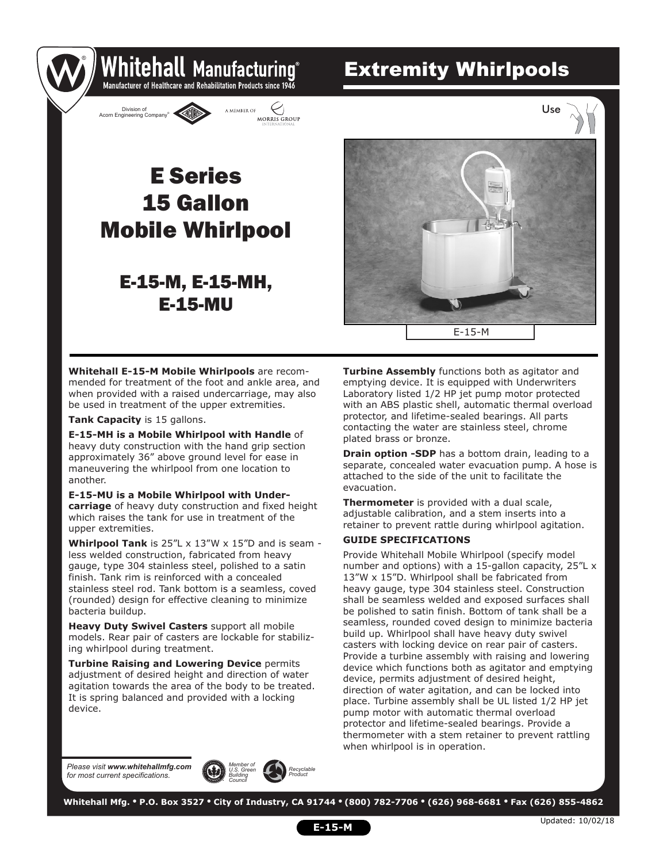## Extremity Whirlpools



Whitehall Manufacturing Manufacturer of Healthcare and Rehabilitation Products since 1946

## 15 Gallon Mobile Whirlpool E Series

### E-15-M, E-15-MH, E-15-MU



**Whitehall E-15-M Mobile Whirlpools** are recommended for treatment of the foot and ankle area, and when provided with a raised undercarriage, may also be used in treatment of the upper extremities.

**Tank Capacity** is 15 gallons.

®

**E-15-MH is a Mobile Whirlpool with Handle** of heavy duty construction with the hand grip section approximately 36" above ground level for ease in maneuvering the whirlpool from one location to another.

**E-15-MU is a Mobile Whirlpool with Undercarriage** of heavy duty construction and fixed height which raises the tank for use in treatment of the upper extremities.

**Whirlpool Tank** is 25"L x 13"W x 15"D and is seam less welded construction, fabricated from heavy gauge, type 304 stainless steel, polished to a satin finish. Tank rim is reinforced with a concealed stainless steel rod. Tank bottom is a seamless, coved (rounded) design for effective cleaning to minimize bacteria buildup.

**Heavy Duty Swivel Casters** support all mobile models. Rear pair of casters are lockable for stabilizing whirlpool during treatment.

**Turbine Raising and Lowering Device** permits adjustment of desired height and direction of water agitation towards the area of the body to be treated. It is spring balanced and provided with a locking device.

**Turbine Assembly** functions both as agitator and emptying device. It is equipped with Underwriters Laboratory listed 1/2 HP jet pump motor protected with an ABS plastic shell, automatic thermal overload protector, and lifetime-sealed bearings. All parts contacting the water are stainless steel, chrome plated brass or bronze.

**Drain option -SDP** has a bottom drain, leading to a separate, concealed water evacuation pump. A hose is attached to the side of the unit to facilitate the evacuation.

**Thermometer** is provided with a dual scale, adjustable calibration, and a stem inserts into a retainer to prevent rattle during whirlpool agitation.

#### **GUIDE SPECIFICATIONS**

Provide Whitehall Mobile Whirlpool (specify model number and options) with a 15-gallon capacity, 25"L x 13"W x 15"D. Whirlpool shall be fabricated from heavy gauge, type 304 stainless steel. Construction shall be seamless welded and exposed surfaces shall be polished to satin finish. Bottom of tank shall be a seamless, rounded coved design to minimize bacteria build up. Whirlpool shall have heavy duty swivel casters with locking device on rear pair of casters. Provide a turbine assembly with raising and lowering device which functions both as agitator and emptying device, permits adjustment of desired height, direction of water agitation, and can be locked into place. Turbine assembly shall be UL listed 1/2 HP jet pump motor with automatic thermal overload protector and lifetime-sealed bearings. Provide a thermometer with a stem retainer to prevent rattling when whirlpool is in operation.

*Please visit www.whitehallmfg.com for most current specifications.*



 **Whitehall Mfg. • P.O. Box 3527 • City of Industry, CA 91744 • (800) 782-7706 • (626) 968-6681 • Fax (626) 855-4862**

**E-15-M**